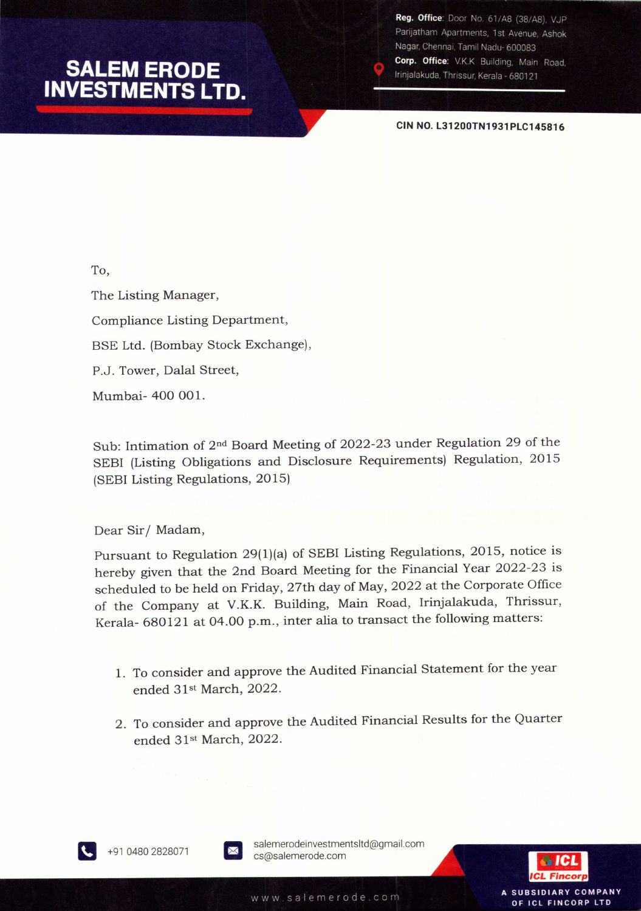## **SALEM ERODE INVESTMENTS LTD.**

Reg. Office: Door No. 61/A8 (38/A8), VJP Parijatham Apartments, 1st Avenue, Ashok Nagar, Chennai, Tamil Nadu- 600083 Corp. Office: V.K.K Building, Main Road,

Irinjalakuda, Thrissur, Kerala - 680121

**CIN NO. L31200TN1931PLC145816**

To, The Listing Manager, Compliance Listing Department, BSE Ltd. (Bombay Stock Exchange), P.J. Tower, Dalal Street, Mumbai- 400 001.

Sub: Intimation of 2nd Board Meeting of 2022-23 under Regulation 29 of the SEBI (Listing Obligations and Disclosure Requirements) Regulation, 2015 (SEBIListing Regulations, 2015)

Dear Sir/Madam,

Pursuant to Regulation 29(I)(a) of SEBI Listing Regulations, 2015, notice is hereby given that the 2nd Board Meeting for the Financial Year 2022-23 is scheduled to be held on Friday, 27th day of May, 2022 at the Corporate Office of the Company at V.K.K. Building, Main Road, Irinjalakuda, Thrissur, Kerala- 680121 at 04.00 p.m., inter alia to transact the following matters:

- 1. To consider and approve the Audited Financial Statement for the year ended 31st March, 2022.
- 2. To consider and approve the Audited Financial Results for the Quarter ended 31st March, 2022.



+91 0480 2828071

salemerodeinvestmentsltd@gmail.com cs@salemerode.com



**SUBSIDIARY COMPANY** 

OF ICL FINCORP LTD